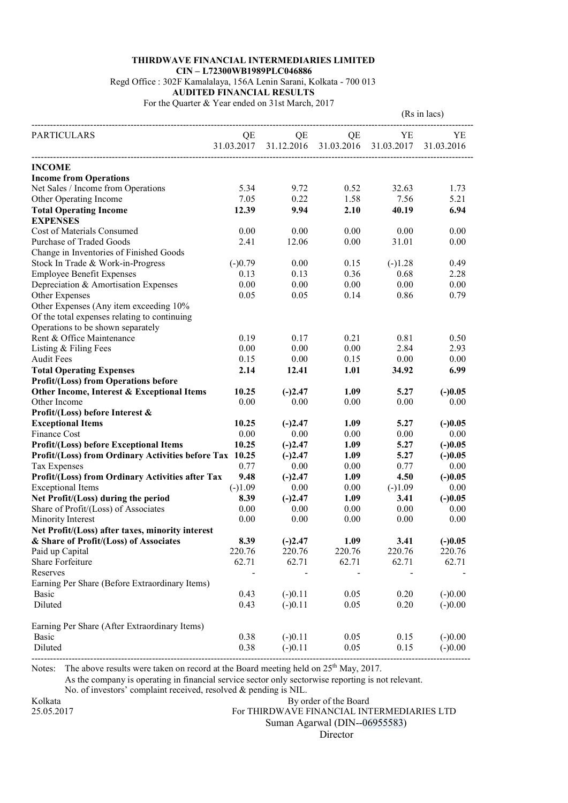## THIRDWAVE FINANCIAL INTERMEDIARIES LIMITED CIN – L72300WB1989PLC046886

Regd Office : 302F Kamalalaya, 156A Lenin Sarani, Kolkata - 700 013

AUDITED FINANCIAL RESULTS

For the Quarter & Year ended on 31st March, 2017

|                                                         |                  |           |                             | (Rs in lacs)     |                  |
|---------------------------------------------------------|------------------|-----------|-----------------------------|------------------|------------------|
| <b>PARTICULARS</b>                                      | QE<br>31.03.2017 | QE        | QE<br>31.12.2016 31.03.2016 | YE<br>31.03.2017 | YE<br>31.03.2016 |
| <b>INCOME</b>                                           |                  |           |                             |                  |                  |
| <b>Income from Operations</b>                           |                  |           |                             |                  |                  |
| Net Sales / Income from Operations                      | 5.34             | 9.72      | 0.52                        | 32.63            | 1.73             |
| Other Operating Income                                  | 7.05             | 0.22      | 1.58                        | 7.56             | 5.21             |
| <b>Total Operating Income</b>                           | 12.39            | 9.94      | 2.10                        | 40.19            | 6.94             |
| <b>EXPENSES</b>                                         |                  |           |                             |                  |                  |
| Cost of Materials Consumed                              | 0.00             | 0.00      | 0.00                        | 0.00             | 0.00             |
| Purchase of Traded Goods                                | 2.41             | 12.06     | 0.00                        | 31.01            | 0.00             |
| Change in Inventories of Finished Goods                 |                  |           |                             |                  |                  |
| Stock In Trade & Work-in-Progress                       | $(-)0.79$        | 0.00      | 0.15                        | $(-)1.28$        | 0.49             |
| <b>Employee Benefit Expenses</b>                        | 0.13             | 0.13      | 0.36                        | 0.68             | 2.28             |
| Depreciation & Amortisation Expenses                    | 0.00             | 0.00      | 0.00                        | 0.00             | 0.00             |
| Other Expenses                                          | 0.05             | 0.05      | 0.14                        | 0.86             | 0.79             |
| Other Expenses (Any item exceeding 10%                  |                  |           |                             |                  |                  |
| Of the total expenses relating to continuing            |                  |           |                             |                  |                  |
| Operations to be shown separately                       |                  |           |                             |                  |                  |
| Rent & Office Maintenance                               | 0.19             | 0.17      | 0.21                        | 0.81             | 0.50             |
| Listing & Filing Fees                                   | 0.00             | 0.00      | 0.00                        | 2.84             | 2.93             |
| <b>Audit Fees</b>                                       | 0.15             | 0.00      | 0.15                        | 0.00             | 0.00             |
| <b>Total Operating Expenses</b>                         | 2.14             | 12.41     | 1.01                        | 34.92            | 6.99             |
| <b>Profit/(Loss) from Operations before</b>             |                  |           |                             |                  |                  |
| Other Income, Interest & Exceptional Items              | 10.25            | $(-)2.47$ | 1.09                        | 5.27             | $(-)0.05$        |
| Other Income                                            | 0.00             | 0.00      | 0.00                        | 0.00             | 0.00             |
| Profit/(Loss) before Interest &                         |                  |           |                             |                  |                  |
| <b>Exceptional Items</b>                                | 10.25            | $(-)2.47$ | 1.09                        | 5.27             | $(-)0.05$        |
| Finance Cost                                            | 0.00             | 0.00      | 0.00                        | 0.00             | 0.00             |
| <b>Profit/(Loss) before Exceptional Items</b>           | 10.25            | $(-)2.47$ | 1.09                        | 5.27             | $(-)0.05$        |
| Profit/(Loss) from Ordinary Activities before Tax 10.25 |                  | $(-)2.47$ | 1.09                        | 5.27             | $(-)0.05$        |
| Tax Expenses                                            | 0.77             | 0.00      | 0.00                        | 0.77             | 0.00             |
| Profit/(Loss) from Ordinary Activities after Tax        | 9.48             | $(-)2.47$ | 1.09                        | 4.50             | $(-)0.05$        |
| <b>Exceptional Items</b>                                | $(-)1.09$        | 0.00      | 0.00                        | $(-)1.09$        | 0.00             |
| Net Profit/(Loss) during the period                     | 8.39             | $(-)2.47$ | 1.09                        | 3.41             | $(-)0.05$        |
| Share of Profit/(Loss) of Associates                    | 0.00             | 0.00      | 0.00                        | 0.00             | 0.00             |
| Minority Interest                                       | 0.00             | 0.00      | 0.00                        | 0.00             | 0.00             |
| Net Profit/(Loss) after taxes, minority interest        |                  |           |                             |                  |                  |
| & Share of Profit/(Loss) of Associates                  | 8.39             | $(-)2.47$ | 1.09                        | 3.41             | $(-)0.05$        |
| Paid up Capital                                         | 220.76           | 220.76    | 220.76                      | 220.76           | 220.76           |
| Share Forfeiture                                        | 62.71            | 62.71     | 62.71                       | 62.71            | 62.71            |
| Reserves                                                |                  |           |                             |                  |                  |
| Earning Per Share (Before Extraordinary Items)          |                  |           |                             |                  |                  |
| Basic                                                   | 0.43             | $(-)0.11$ | 0.05                        | 0.20             | $(-)0.00$        |
| Diluted                                                 | 0.43             | $(-)0.11$ | 0.05                        | 0.20             | $(-)0.00$        |
| Earning Per Share (After Extraordinary Items)           |                  |           |                             |                  |                  |
| Basic                                                   | 0.38             | $(-)0.11$ | 0.05                        | 0.15             | $(-)0.00$        |
| Diluted                                                 | 0.38             | $(-)0.11$ | 0.05                        | 0.15             | $(-)0.00$        |
|                                                         |                  |           |                             |                  |                  |

Notes: The above results were taken on record at the Board meeting held on  $25<sup>th</sup>$  May, 2017.

As the company is operating in financial service sector only sectorwise reporting is not relevant.

No. of investors' complaint received, resolved & pending is NIL.

Kolkata By order of the Board 25.05.2017 For THIRDWAVE FINANCIAL INTERMEDIARIES LTD

Suman Agarwal (DIN--06955583)

Director